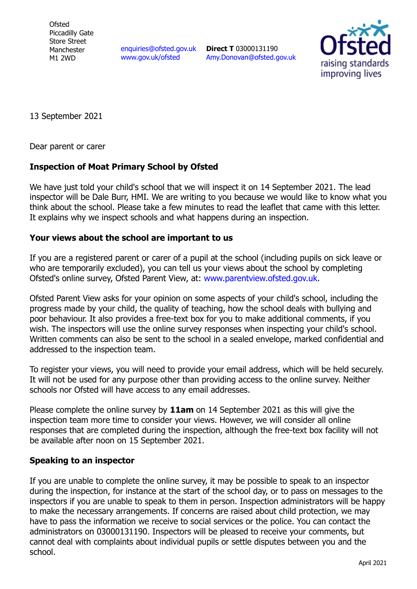**Ofsted** Piccadilly Gate Store Street Manchester M1 2WD

[enquiries@ofsted.gov.uk](mailto:enquiries@ofsted.gov.uk) [www.gov.uk/ofsted](http://www.gov.uk/ofsted)

**Direct T** 03000131190 [Amy.Donovan@ofsted.gov.uk](mailto:Amy.Donovan@ofsted.gov.uk)



13 September 2021

Dear parent or carer

## **Inspection of Moat Primary School by Ofsted**

We have just told your child's school that we will inspect it on 14 September 2021. The lead inspector will be Dale Burr, HMI. We are writing to you because we would like to know what you think about the school. Please take a few minutes to read the leaflet that came with this letter. It explains why we inspect schools and what happens during an inspection.

## **Your views about the school are important to us**

If you are a registered parent or carer of a pupil at the school (including pupils on sick leave or who are temporarily excluded), you can tell us your views about the school by completing Ofsted's online survey, Ofsted Parent View, at: [www.parentview.ofsted.gov.uk.](http://www.parentview.ofsted.gov.uk/)

Ofsted Parent View asks for your opinion on some aspects of your child's school, including the progress made by your child, the quality of teaching, how the school deals with bullying and poor behaviour. It also provides a free-text box for you to make additional comments, if you wish. The inspectors will use the online survey responses when inspecting your child's school. Written comments can also be sent to the school in a sealed envelope, marked confidential and addressed to the inspection team.

To register your views, you will need to provide your email address, which will be held securely. It will not be used for any purpose other than providing access to the online survey. Neither schools nor Ofsted will have access to any email addresses.

Please complete the online survey by **11am** on 14 September 2021 as this will give the inspection team more time to consider your views. However, we will consider all online responses that are completed during the inspection, although the free-text box facility will not be available after noon on 15 September 2021.

## **Speaking to an inspector**

If you are unable to complete the online survey, it may be possible to speak to an inspector during the inspection, for instance at the start of the school day, or to pass on messages to the inspectors if you are unable to speak to them in person. Inspection administrators will be happy to make the necessary arrangements. If concerns are raised about child protection, we may have to pass the information we receive to social services or the police. You can contact the administrators on 03000131190. Inspectors will be pleased to receive your comments, but cannot deal with complaints about individual pupils or settle disputes between you and the school.